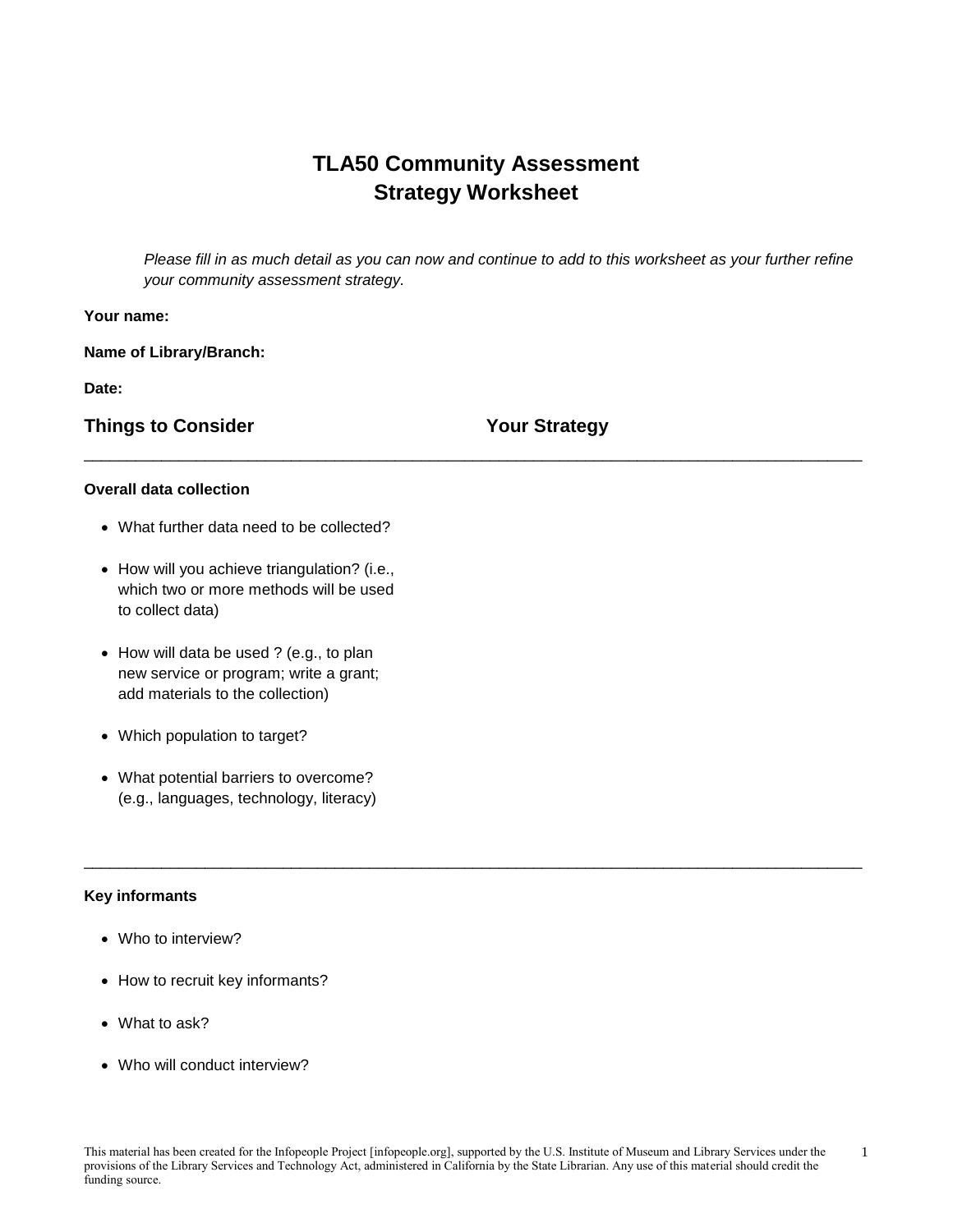# **TLA50 Community Assessment Strategy Worksheet**

\_\_\_\_\_\_\_\_\_\_\_\_\_\_\_\_\_\_\_\_\_\_\_\_\_\_\_\_\_\_\_\_\_\_\_\_\_\_\_\_\_\_\_\_\_\_\_\_\_\_\_\_\_\_\_\_\_\_\_\_\_\_\_\_\_\_\_\_\_\_\_\_\_\_\_\_\_\_\_\_\_\_\_\_\_\_\_\_\_\_

*Please fill in as much detail as you can now and continue to add to this worksheet as your further refine your community assessment strategy.*

## **Your name:**

**Name of Library/Branch:**

**Date:**

**Things to Consider Your Strategy** 

#### **Overall data collection**

- What further data need to be collected?
- How will you achieve triangulation? (i.e., which two or more methods will be used to collect data)
- How will data be used ? (e.g., to plan new service or program; write a grant; add materials to the collection)
- Which population to target?
- What potential barriers to overcome? (e.g., languages, technology, literacy)

#### **Key informants**

- Who to interview?
- How to recruit key informants?
- What to ask?
- Who will conduct interview?

\_\_\_\_\_\_\_\_\_\_\_\_\_\_\_\_\_\_\_\_\_\_\_\_\_\_\_\_\_\_\_\_\_\_\_\_\_\_\_\_\_\_\_\_\_\_\_\_\_\_\_\_\_\_\_\_\_\_\_\_\_\_\_\_\_\_\_\_\_\_\_\_\_\_\_\_\_\_\_\_\_\_\_\_\_\_\_\_\_\_

1